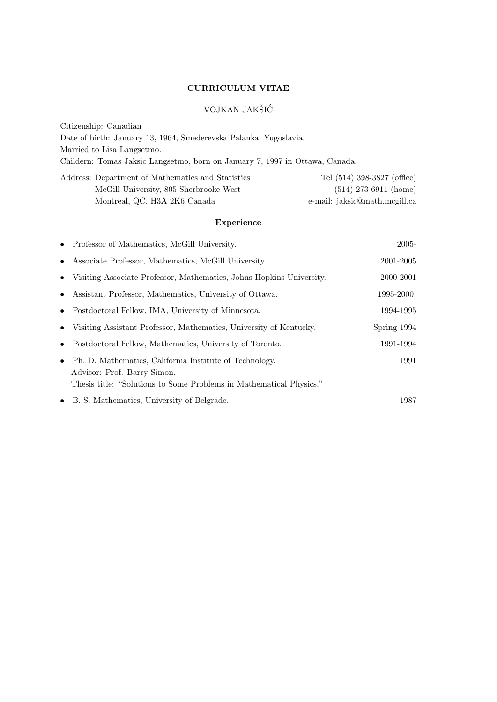## CURRICULUM VITAE

## VOJKAN JAKŠIĆ

Citizenship: Canadian Date of birth: January 13, 1964, Smederevska Palanka, Yugoslavia. Married to Lisa Langsetmo. Childern: Tomas Jaksic Langsetmo, born on January 7, 1997 in Ottawa, Canada. Address: Department of Mathematics and Statistics Tel (514) 398-3827 (office)

| Address: Department of Mathematics and Statistics | Tel (514) 398-3827 (office)   |
|---------------------------------------------------|-------------------------------|
| McGill University, 805 Sherbrooke West            | $(514)$ 273-6911 (home)       |
| Montreal, QC, H3A 2K6 Canada                      | e-mail: jaksic@math.mcgill.ca |

## Experience

|           | • Professor of Mathematics, McGill University.                                                                                                                | 2005-       |
|-----------|---------------------------------------------------------------------------------------------------------------------------------------------------------------|-------------|
| $\bullet$ | Associate Professor, Mathematics, McGill University.                                                                                                          | 2001-2005   |
| $\bullet$ | Visiting Associate Professor, Mathematics, Johns Hopkins University.                                                                                          | 2000-2001   |
| $\bullet$ | Assistant Professor, Mathematics, University of Ottawa.                                                                                                       | 1995-2000   |
|           | • Postdoctoral Fellow, IMA, University of Minnesota.                                                                                                          | 1994-1995   |
|           | Visiting Assistant Professor, Mathematics, University of Kentucky.<br>$\bullet$                                                                               | Spring 1994 |
| $\bullet$ | Postdoctoral Fellow, Mathematics, University of Toronto.                                                                                                      | 1991-1994   |
| $\bullet$ | Ph. D. Mathematics, California Institute of Technology.<br>Advisor: Prof. Barry Simon.<br>Thesis title: "Solutions to Some Problems in Mathematical Physics." | 1991        |
|           | • B. S. Mathematics, University of Belgrade.                                                                                                                  | 1987        |
|           |                                                                                                                                                               |             |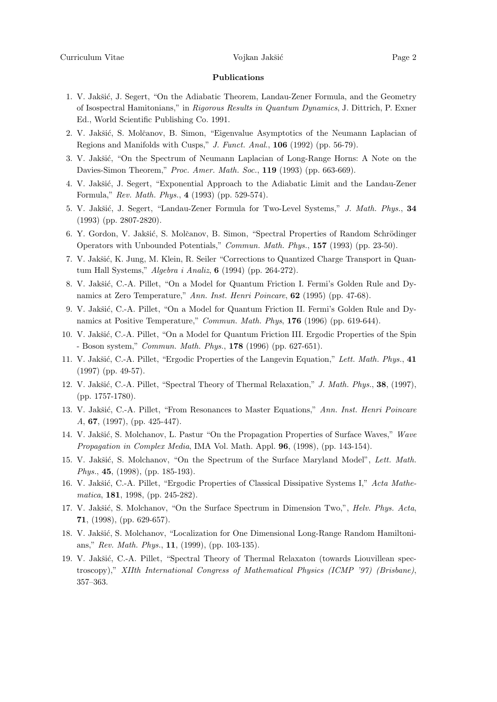## Publications

- 1. V. Jakšić, J. Segert, "On the Adiabatic Theorem, Landau-Zener Formula, and the Geometry of Isospectral Hamitonians," in Rigorous Results in Quantum Dynamics, J. Dittrich, P. Exner Ed., World Scientific Publishing Co. 1991.
- 2. V. Jakšić, S. Molčanov, B. Simon, "Eigenvalue Asymptotics of the Neumann Laplacian of Regions and Manifolds with Cusps," J. Funct. Anal., 106 (1992) (pp. 56-79).
- 3. V. Jakšić, "On the Spectrum of Neumann Laplacian of Long-Range Horns: A Note on the Davies-Simon Theorem," Proc. Amer. Math. Soc., 119 (1993) (pp. 663-669).
- 4. V. Jakšić, J. Segert, "Exponential Approach to the Adiabatic Limit and the Landau-Zener Formula," Rev. Math. Phys., 4 (1993) (pp. 529-574).
- 5. V. Jakšić, J. Segert, "Landau-Zener Formula for Two-Level Systems," J. Math. Phys., 34 (1993) (pp. 2807-2820).
- 6. Y. Gordon, V. Jakšić, S. Molčanov, B. Simon, "Spectral Properties of Random Schrödinger Operators with Unbounded Potentials," Commun. Math. Phys., 157 (1993) (pp. 23-50).
- 7. V. Jakšić, K. Jung, M. Klein, R. Seiler "Corrections to Quantized Charge Transport in Quantum Hall Systems," Algebra i Analiz, 6 (1994) (pp. 264-272).
- 8. V. Jakšić, C.-A. Pillet, "On a Model for Quantum Friction I. Fermi's Golden Rule and Dynamics at Zero Temperature," Ann. Inst. Henri Poincare, 62 (1995) (pp. 47-68).
- 9. V. Jakšić, C.-A. Pillet, "On a Model for Quantum Friction II. Fermi's Golden Rule and Dynamics at Positive Temperature," Commun. Math. Phys, 176 (1996) (pp. 619-644).
- 10. V. Jakšić, C.-A. Pillet, "On a Model for Quantum Friction III. Ergodic Properties of the Spin - Boson system," *Commun. Math. Phys.*,  $178$  (1996) (pp. 627-651).
- 11. V. Jakšić, C.-A. Pillet, "Ergodic Properties of the Langevin Equation," Lett. Math. Phys., 41 (1997) (pp. 49-57).
- 12. V. Jakšić, C.-A. Pillet, "Spectral Theory of Thermal Relaxation," J. Math. Phys., 38, (1997), (pp. 1757-1780).
- 13. V. Jakšić, C.-A. Pillet, "From Resonances to Master Equations," Ann. Inst. Henri Poincare A, 67, (1997), (pp. 425-447).
- 14. V. Jakšić, S. Molchanov, L. Pastur "On the Propagation Properties of Surface Waves," Wave *Propagation in Complex Media*, IMA Vol. Math. Appl.  $96$ ,  $(1998)$ ,  $(pp. 143-154)$ .
- 15. V. Jakšić, S. Molchanov, "On the Spectrum of the Surface Maryland Model", Lett. Math. Phys., **45**, (1998), (pp. 185-193).
- 16. V. Jakšić, C.-A. Pillet, "Ergodic Properties of Classical Dissipative Systems I," Acta Mathematica, 181, 1998, (pp. 245-282).
- 17. V. Jakšić, S. Molchanov, "On the Surface Spectrum in Dimension Two,", *Helv. Phys. Acta*, 71, (1998), (pp. 629-657).
- 18. V. Jakšić, S. Molchanov, "Localization for One Dimensional Long-Range Random Hamiltonians," Rev. Math. Phys., 11, (1999), (pp. 103-135).
- 19. V. Jakšić, C.-A. Pillet, "Spectral Theory of Thermal Relaxaton (towards Liouvillean spectroscopy)," XIIth International Congress of Mathematical Physics (ICMP '97) (Brisbane), 357–363.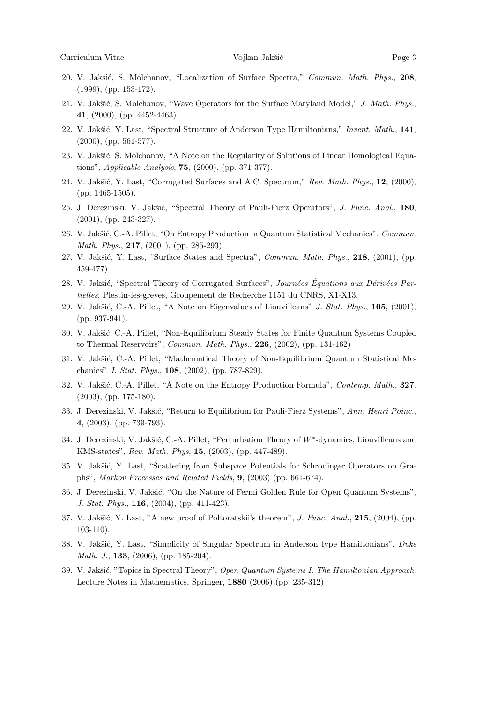- 20. V. Jakšić, S. Molchanov, "Localization of Surface Spectra," Commun. Math. Phys., 208, (1999), (pp. 153-172).
- 21. V. Jakšić, S. Molchanov, "Wave Operators for the Surface Maryland Model," J. Math. Phys., 41, (2000), (pp. 4452-4463).
- 22. V. Jakšić, Y. Last, "Spectral Structure of Anderson Type Hamiltonians," Invent. Math., 141, (2000), (pp. 561-577).
- 23. V. Jakšić, S. Molchanov, "A Note on the Regularity of Solutions of Linear Homological Equations", Applicable Analysis, 75, (2000), (pp. 371-377).
- 24. V. Jakšić, Y. Last, "Corrugated Surfaces and A.C. Spectrum," Rev. Math. Phys., 12, (2000), (pp. 1465-1505).
- 25. J. Derezinski, V. Jakšić, "Spectral Theory of Pauli-Fierz Operators", J. Func. Anal., 180, (2001), (pp. 243-327).
- 26. V. Jakšić, C.-A. Pillet, "On Entropy Production in Quantum Statistical Mechanics", Commun. Math. Phys., **217**, (2001), (pp. 285-293).
- 27. V. Jakšić, Y. Last, "Surface States and Spectra", Commun. Math. Phys., 218, (2001), (pp. 459-477).
- 28. V. Jakšić, "Spectral Theory of Corrugated Surfaces", Journées Équations aux Dérivées Partielles, Plestin-les-greves, Groupement de Recherche 1151 du CNRS, X1-X13.
- 29. V. Jakšić, C.-A. Pillet, "A Note on Eigenvalues of Liouvilleans" J. Stat. Phys.,  $105$ ,  $(2001)$ , (pp. 937-941).
- 30. V. Jakšić, C.-A. Pillet, "Non-Equilibrium Steady States for Finite Quantum Systems Coupled to Thermal Reservoirs", *Commun. Math. Phys.*,  $226$ ,  $(2002)$ ,  $(pp. 131-162)$
- 31. V. Jakšić, C.-A. Pillet, "Mathematical Theory of Non-Equilibrium Quantum Statistical Mechanics" J. Stat. Phys., 108, (2002), (pp. 787-829).
- 32. V. Jakšić, C.-A. Pillet, "A Note on the Entropy Production Formula", Contemp. Math., 327, (2003), (pp. 175-180).
- 33. J. Derezinski, V. Jakšić, "Return to Equilibrium for Pauli-Fierz Systems", Ann. Henri Poinc., 4, (2003), (pp. 739-793).
- 34. J. Derezinski, V. Jakšić, C.-A. Pillet, "Perturbation Theory of W<sup>\*</sup>-dynamics, Liouvilleans and KMS-states", Rev. Math. Phys, 15, (2003), (pp. 447-489).
- 35. V. Jakšić, Y. Last, "Scattering from Subspace Potentials for Schrodinger Operators on Graphs", Markov Processes and Related Fields, 9, (2003) (pp. 661-674).
- 36. J. Derezinski, V. Jakšić, "On the Nature of Fermi Golden Rule for Open Quantum Systems", J. Stat. Phys., 116, (2004), (pp. 411-423).
- 37. V. Jakšić, Y. Last, "A new proof of Poltoratskii's theorem", J. Func. Anal., 215, (2004), (pp. 103-110).
- 38. V. Jakšić, Y. Last, "Simplicity of Singular Spectrum in Anderson type Hamiltonians", Duke Math. J., **133**, (2006), (pp. 185-204).
- 39. V. Jakšić, "Topics in Spectral Theory", Open Quantum Systems I. The Hamiltonian Approach. Lecture Notes in Mathematics, Springer, 1880 (2006) (pp. 235-312)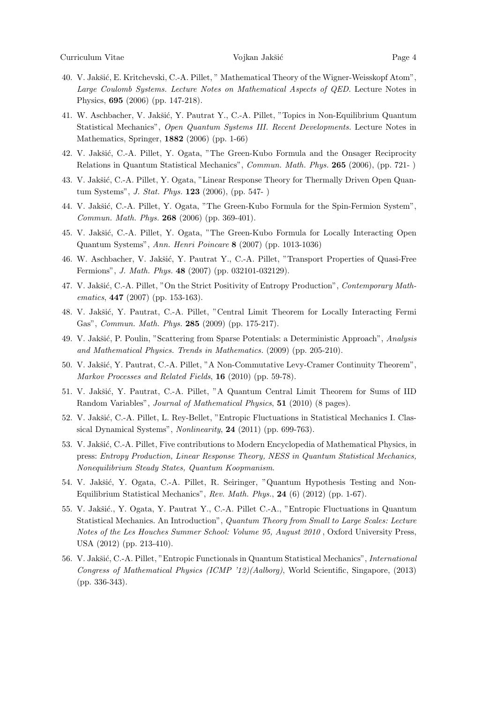- 40. V. Jakšić, E. Kritchevski, C.-A. Pillet, " Mathematical Theory of the Wigner-Weisskopf Atom", Large Coulomb Systems. Lecture Notes on Mathematical Aspects of QED. Lecture Notes in Physics, 695 (2006) (pp. 147-218).
- 41. W. Aschbacher, V. Jakšić, Y. Pautrat Y., C.-A. Pillet, "Topics in Non-Equilibrium Quantum Statistical Mechanics", Open Quantum Systems III. Recent Developments. Lecture Notes in Mathematics, Springer, 1882 (2006) (pp. 1-66)
- 42. V. Jakšić, C.-A. Pillet, Y. Ogata, "The Green-Kubo Formula and the Onsager Reciprocity Relations in Quantum Statistical Mechanics", Commun. Math. Phys. 265 (2006), (pp. 721- )
- 43. V. Jakšić, C.-A. Pillet, Y. Ogata, "Linear Response Theory for Thermally Driven Open Quantum Systems", J. Stat. Phys. 123 (2006), (pp. 547- )
- 44. V. Jakšić, C.-A. Pillet, Y. Ogata, "The Green-Kubo Formula for the Spin-Fermion System", Commun. Math. Phys. 268 (2006) (pp. 369-401).
- 45. V. Jakšić, C.-A. Pillet, Y. Ogata, "The Green-Kubo Formula for Locally Interacting Open Quantum Systems", Ann. Henri Poincare 8 (2007) (pp. 1013-1036)
- 46. W. Aschbacher, V. Jakšić, Y. Pautrat Y., C.-A. Pillet, "Transport Properties of Quasi-Free Fermions", J. Math. Phys. 48 (2007) (pp. 032101-032129).
- 47. V. Jakšić, C.-A. Pillet, "On the Strict Positivity of Entropy Production", Contemporary Mathematics, **447** (2007) (pp. 153-163).
- 48. V. Jakšić, Y. Pautrat, C.-A. Pillet, "Central Limit Theorem for Locally Interacting Fermi Gas", Commun. Math. Phys. 285 (2009) (pp. 175-217).
- 49. V. Jakšić, P. Poulin, "Scattering from Sparse Potentials: a Deterministic Approach", Analysis and Mathematical Physics. Trends in Mathematics. (2009) (pp. 205-210).
- 50. V. Jakšić, Y. Pautrat, C.-A. Pillet, "A Non-Commutative Levy-Cramer Continuity Theorem", Markov Processes and Related Fields, 16 (2010) (pp. 59-78).
- 51. V. Jakšić, Y. Pautrat, C.-A. Pillet, "A Quantum Central Limit Theorem for Sums of IID Random Variables", Journal of Mathematical Physics, 51 (2010) (8 pages).
- 52. V. Jakšić, C.-A. Pillet, L. Rey-Bellet, "Entropic Fluctuations in Statistical Mechanics I. Classical Dynamical Systems", Nonlinearity, 24 (2011) (pp. 699-763).
- 53. V. Jakšić, C.-A. Pillet, Five contributions to Modern Encyclopedia of Mathematical Physics, in press: Entropy Production, Linear Response Theory, NESS in Quantum Statistical Mechanics, Nonequilibrium Steady States, Quantum Koopmanism.
- 54. V. Jakšić, Y. Ogata, C.-A. Pillet, R. Seiringer, "Quantum Hypothesis Testing and Non-Equilibrium Statistical Mechanics", Rev. Math. Phys., 24 (6) (2012) (pp. 1-67).
- 55. V. Jakšić., Y. Ogata, Y. Pautrat Y., C.-A. Pillet C.-A., "Entropic Fluctuations in Quantum Statistical Mechanics. An Introduction", Quantum Theory from Small to Large Scales: Lecture Notes of the Les Houches Summer School: Volume 95, August 2010 , Oxford University Press, USA (2012) (pp. 213-410).
- 56. V. Jakšić, C.-A. Pillet, "Entropic Functionals in Quantum Statistical Mechanics", International Congress of Mathematical Physics (ICMP '12)(Aalborg), World Scientific, Singapore, (2013) (pp. 336-343).